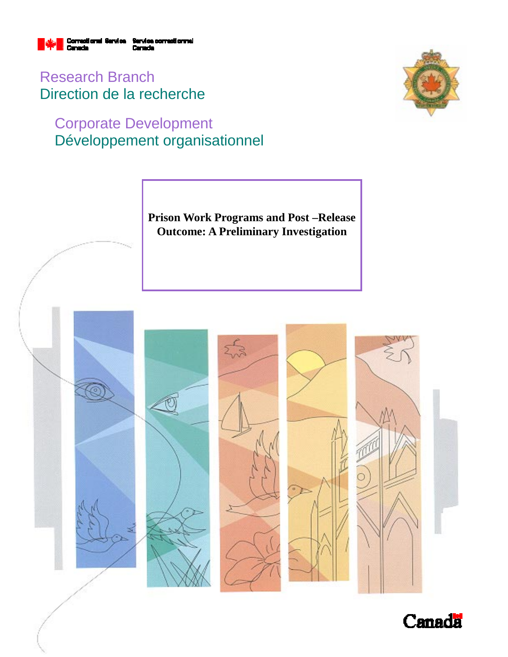

Research Branch Direction de la recherche

# Corporate Development Développement organisationnel



**Prison Work Programs and Post –Release Outcome: A Preliminary Investigation** 



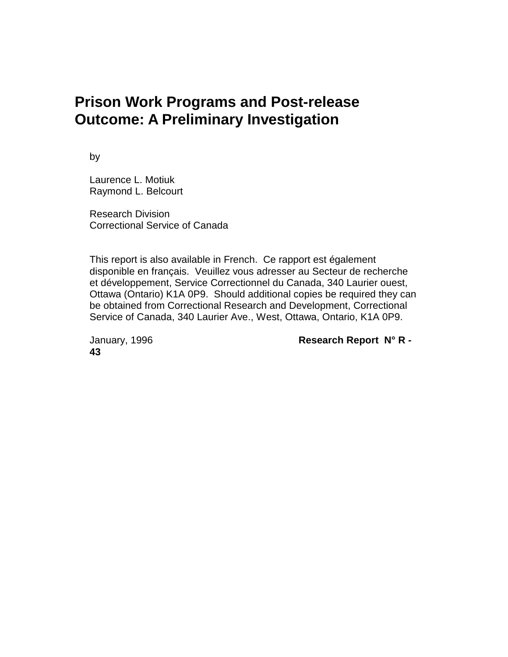# **Prison Work Programs and Post-release Outcome: A Preliminary Investigation**

by

Laurence L. Motiuk Raymond L. Belcourt

Research Division Correctional Service of Canada

This report is also available in French. Ce rapport est également disponible en français. Veuillez vous adresser au Secteur de recherche et développement, Service Correctionnel du Canada, 340 Laurier ouest, Ottawa (Ontario) K1A 0P9. Should additional copies be required they can be obtained from Correctional Research and Development, Correctional Service of Canada, 340 Laurier Ave., West, Ottawa, Ontario, K1A 0P9.

**43**

January, 1996 **Research Report N° R -**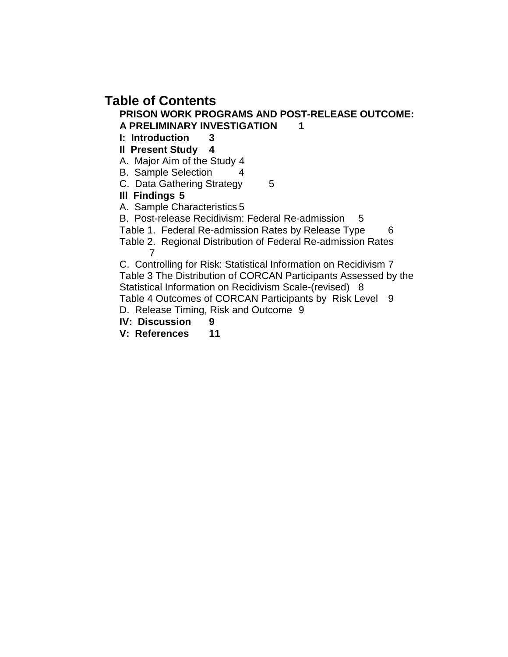# **Table of Contents**

#### **PRISON WORK PROGRAMS AND POST-RELEASE OUTCOME: A PRELIMINARY INVESTIGATION 1**

**I: Introduction 3**

**Il Present Study 4**

A. Major Aim of the Study 4

- B. Sample Selection 4
- C. Data Gathering Strategy 5

**Ill Findings 5**

A. Sample Characteristics 5

B. Post-release Recidivism: Federal Re-admission 5

Table 1. Federal Re-admission Rates by Release Type 6

Table 2. Regional Distribution of Federal Re-admission Rates 7

C. Controlling for Risk: Statistical Information on Recidivism 7 Table 3 The Distribution of CORCAN Participants Assessed by the Statistical Information on Recidivism Scale-(revised) 8 Table 4 Outcomes of CORCAN Participants by Risk Level 9

D. Release Timing, Risk and Outcome 9

**IV: Discussion 9**

**V: References 11**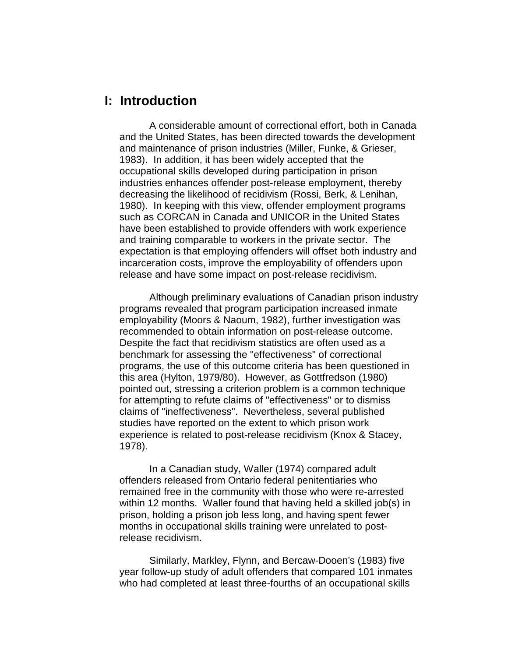### **I: Introduction**

A considerable amount of correctional effort, both in Canada and the United States, has been directed towards the development and maintenance of prison industries (Miller, Funke, & Grieser, 1983). In addition, it has been widely accepted that the occupational skills developed during participation in prison industries enhances offender post-release employment, thereby decreasing the likelihood of recidivism (Rossi, Berk, & Lenihan, 1980). In keeping with this view, offender employment programs such as CORCAN in Canada and UNICOR in the United States have been established to provide offenders with work experience and training comparable to workers in the private sector. The expectation is that employing offenders will offset both industry and incarceration costs, improve the employability of offenders upon release and have some impact on post-release recidivism.

Although preliminary evaluations of Canadian prison industry programs revealed that program participation increased inmate employability (Moors & Naoum, 1982), further investigation was recommended to obtain information on post-release outcome. Despite the fact that recidivism statistics are often used as a benchmark for assessing the "effectiveness" of correctional programs, the use of this outcome criteria has been questioned in this area (Hylton, 1979/80). However, as Gottfredson (1980) pointed out, stressing a criterion problem is a common technique for attempting to refute claims of "effectiveness" or to dismiss claims of "ineffectiveness". Nevertheless, several published studies have reported on the extent to which prison work experience is related to post-release recidivism (Knox & Stacey, 1978).

In a Canadian study, Waller (1974) compared adult offenders released from Ontario federal penitentiaries who remained free in the community with those who were re-arrested within 12 months. Waller found that having held a skilled job(s) in prison, holding a prison job less long, and having spent fewer months in occupational skills training were unrelated to postrelease recidivism.

Similarly, Markley, Flynn, and Bercaw-Dooen's (1983) five year follow-up study of adult offenders that compared 101 inmates who had completed at least three-fourths of an occupational skills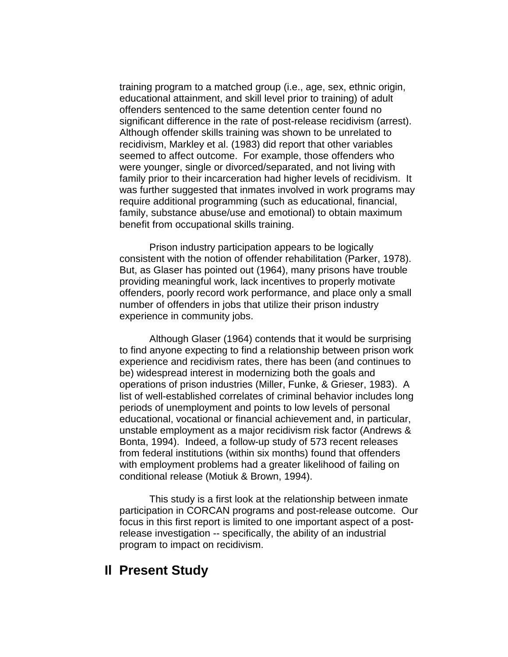training program to a matched group (i.e., age, sex, ethnic origin, educational attainment, and skill level prior to training) of adult offenders sentenced to the same detention center found no significant difference in the rate of post-release recidivism (arrest). Although offender skills training was shown to be unrelated to recidivism, Markley et al. (1983) did report that other variables seemed to affect outcome. For example, those offenders who were younger, single or divorced/separated, and not living with family prior to their incarceration had higher levels of recidivism. It was further suggested that inmates involved in work programs may require additional programming (such as educational, financial, family, substance abuse/use and emotional) to obtain maximum benefit from occupational skills training.

Prison industry participation appears to be logically consistent with the notion of offender rehabilitation (Parker, 1978). But, as Glaser has pointed out (1964), many prisons have trouble providing meaningful work, lack incentives to properly motivate offenders, poorly record work performance, and place only a small number of offenders in jobs that utilize their prison industry experience in community jobs.

Although Glaser (1964) contends that it would be surprising to find anyone expecting to find a relationship between prison work experience and recidivism rates, there has been (and continues to be) widespread interest in modernizing both the goals and operations of prison industries (Miller, Funke, & Grieser, 1983). A list of well-established correlates of criminal behavior includes long periods of unemployment and points to low levels of personal educational, vocational or financial achievement and, in particular, unstable employment as a major recidivism risk factor (Andrews & Bonta, 1994). Indeed, a follow-up study of 573 recent releases from federal institutions (within six months) found that offenders with employment problems had a greater likelihood of failing on conditional release (Motiuk & Brown, 1994).

This study is a first look at the relationship between inmate participation in CORCAN programs and post-release outcome. Our focus in this first report is limited to one important aspect of a postrelease investigation -- specifically, the ability of an industrial program to impact on recidivism.

### **Il Present Study**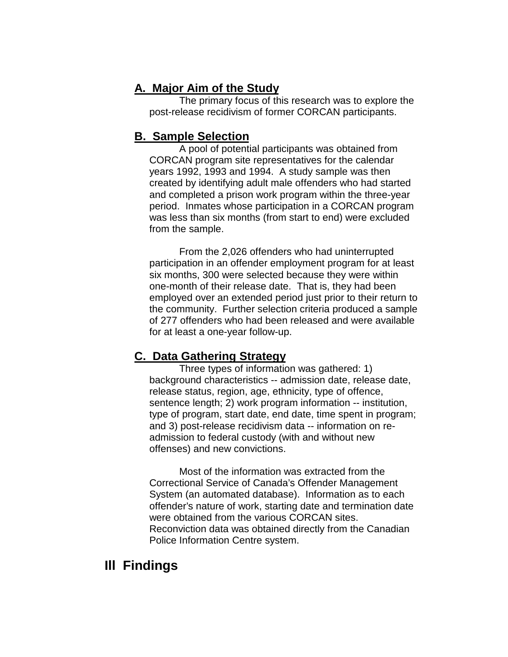### **A. Major Aim of the Study**

The primary focus of this research was to explore the post-release recidivism of former CORCAN participants.

### **B. Sample Selection**

A pool of potential participants was obtained from CORCAN program site representatives for the calendar years 1992, 1993 and 1994. A study sample was then created by identifying adult male offenders who had started and completed a prison work program within the three-year period. Inmates whose participation in a CORCAN program was less than six months (from start to end) were excluded from the sample.

From the 2,026 offenders who had uninterrupted participation in an offender employment program for at least six months, 300 were selected because they were within one-month of their release date. That is, they had been employed over an extended period just prior to their return to the community. Further selection criteria produced a sample of 277 offenders who had been released and were available for at least a one-year follow-up.

### **C. Data Gathering Strategy**

Three types of information was gathered: 1) background characteristics -- admission date, release date, release status, region, age, ethnicity, type of offence, sentence length; 2) work program information -- institution, type of program, start date, end date, time spent in program; and 3) post-release recidivism data -- information on readmission to federal custody (with and without new offenses) and new convictions.

Most of the information was extracted from the Correctional Service of Canada's Offender Management System (an automated database). Information as to each offender's nature of work, starting date and termination date were obtained from the various CORCAN sites. Reconviction data was obtained directly from the Canadian Police Information Centre system.

## **Ill Findings**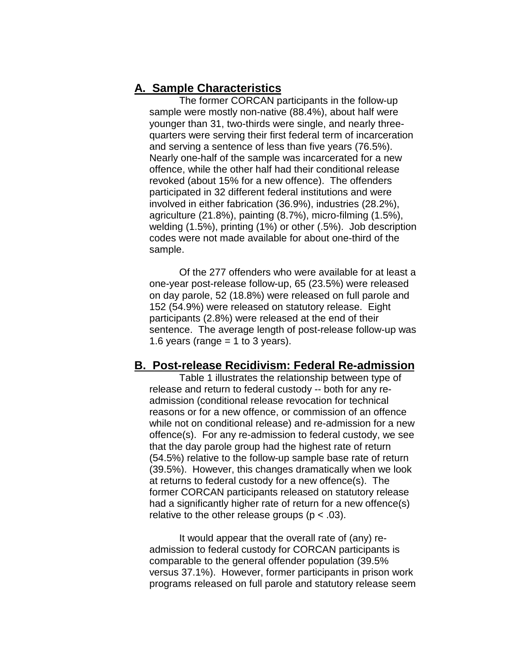#### **A. Sample Characteristics**

The former CORCAN participants in the follow-up sample were mostly non-native (88.4%), about half were younger than 31, two-thirds were single, and nearly threequarters were serving their first federal term of incarceration and serving a sentence of less than five years (76.5%). Nearly one-half of the sample was incarcerated for a new offence, while the other half had their conditional release revoked (about 15% for a new offence). The offenders participated in 32 different federal institutions and were involved in either fabrication (36.9%), industries (28.2%), agriculture (21.8%), painting (8.7%), micro-filming (1.5%), welding (1.5%), printing (1%) or other (.5%). Job description codes were not made available for about one-third of the sample.

Of the 277 offenders who were available for at least a one-year post-release follow-up, 65 (23.5%) were released on day parole, 52 (18.8%) were released on full parole and 152 (54.9%) were released on statutory release. Eight participants (2.8%) were released at the end of their sentence. The average length of post-release follow-up was 1.6 years (range  $=$  1 to 3 years).

#### **B. Post-release Recidivism: Federal Re-admission**

Table 1 illustrates the relationship between type of release and return to federal custody -- both for any readmission (conditional release revocation for technical reasons or for a new offence, or commission of an offence while not on conditional release) and re-admission for a new offence(s). For any re-admission to federal custody, we see that the day parole group had the highest rate of return (54.5%) relative to the follow-up sample base rate of return (39.5%). However, this changes dramatically when we look at returns to federal custody for a new offence(s). The former CORCAN participants released on statutory release had a significantly higher rate of return for a new offence(s) relative to the other release groups ( $p < .03$ ).

It would appear that the overall rate of (any) readmission to federal custody for CORCAN participants is comparable to the general offender population (39.5% versus 37.1%). However, former participants in prison work programs released on full parole and statutory release seem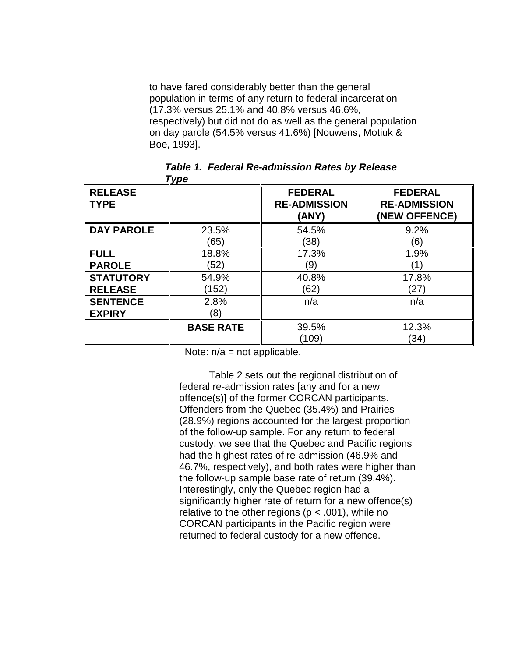to have fared considerably better than the general population in terms of any return to federal incarceration (17.3% versus 25.1% and 40.8% versus 46.6%, respectively) but did not do as well as the general population on day parole (54.5% versus 41.6%) [Nouwens, Motiuk & Boe, 1993].

| <b>RELEASE</b><br><b>TYPE</b> |                  | <b>FEDERAL</b><br><b>RE-ADMISSION</b><br>(ANY) | <b>FEDERAL</b><br><b>RE-ADMISSION</b><br>(NEW OFFENCE) |
|-------------------------------|------------------|------------------------------------------------|--------------------------------------------------------|
| <b>DAY PAROLE</b>             | 23.5%            | 54.5%                                          | 9.2%                                                   |
|                               | (65)             | (38)                                           | (6)                                                    |
| <b>FULL</b>                   | 18.8%            | 17.3%                                          | 1.9%                                                   |
| <b>PAROLE</b>                 | (52)             | (9)                                            | (1)                                                    |
| <b>STATUTORY</b>              | 54.9%            | 40.8%                                          | 17.8%                                                  |
| <b>RELEASE</b>                | (152)            | (62)                                           | (27)                                                   |
| <b>SENTENCE</b>               | 2.8%             | n/a                                            | n/a                                                    |
| <b>EXPIRY</b>                 | (8)              |                                                |                                                        |
|                               | <b>BASE RATE</b> | 39.5%                                          | 12.3%                                                  |
|                               |                  | (109)                                          | (34)                                                   |

**Table 1. Federal Re-admission Rates by Release Type**

Note:  $n/a$  = not applicable.

Table 2 sets out the regional distribution of federal re-admission rates [any and for a new offence(s)] of the former CORCAN participants. Offenders from the Quebec (35.4%) and Prairies (28.9%) regions accounted for the largest proportion of the follow-up sample. For any return to federal custody, we see that the Quebec and Pacific regions had the highest rates of re-admission (46.9% and 46.7%, respectively), and both rates were higher than the follow-up sample base rate of return (39.4%). Interestingly, only the Quebec region had a significantly higher rate of return for a new offence(s) relative to the other regions ( $p < .001$ ), while no CORCAN participants in the Pacific region were returned to federal custody for a new offence.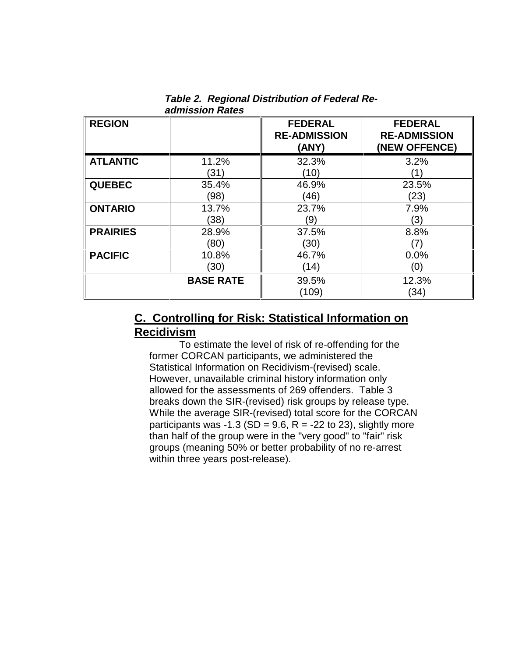|                 | uunnoolon ruuoo  |                                                |                                                        |
|-----------------|------------------|------------------------------------------------|--------------------------------------------------------|
| <b>REGION</b>   |                  | <b>FEDERAL</b><br><b>RE-ADMISSION</b><br>(ANY) | <b>FEDERAL</b><br><b>RE-ADMISSION</b><br>(NEW OFFENCE) |
| <b>ATLANTIC</b> | 11.2%<br>(31)    | 32.3%<br>(10)                                  | 3.2%<br>$^{\prime}$ 1                                  |
|                 |                  |                                                |                                                        |
| <b>QUEBEC</b>   | 35.4%            | 46.9%                                          | 23.5%                                                  |
|                 | (98)             | (46)                                           | (23)                                                   |
| <b>ONTARIO</b>  | 13.7%            | 23.7%                                          | 7.9%                                                   |
|                 | (38)             | (9)                                            | (3)                                                    |
| <b>PRAIRIES</b> | 28.9%            | 37.5%                                          | 8.8%                                                   |
|                 | (80)             | (30)                                           | 7)                                                     |
| <b>PACIFIC</b>  | 10.8%            | 46.7%                                          | 0.0%                                                   |
|                 | (30)             | (14)                                           | (0)                                                    |
|                 | <b>BASE RATE</b> | 39.5%                                          | 12.3%                                                  |
|                 |                  | (109)                                          | (34)                                                   |

**Table 2. Regional Distribution of Federal Readmission Rates**

### **C. Controlling for Risk: Statistical Information on Recidivism**

To estimate the level of risk of re-offending for the former CORCAN participants, we administered the Statistical Information on Recidivism-(revised) scale. However, unavailable criminal history information only allowed for the assessments of 269 offenders. Table 3 breaks down the SIR-(revised) risk groups by release type. While the average SIR-(revised) total score for the CORCAN participants was -1.3 (SD = 9.6, R = -22 to 23), slightly more than half of the group were in the "very good" to "fair" risk groups (meaning 50% or better probability of no re-arrest within three years post-release).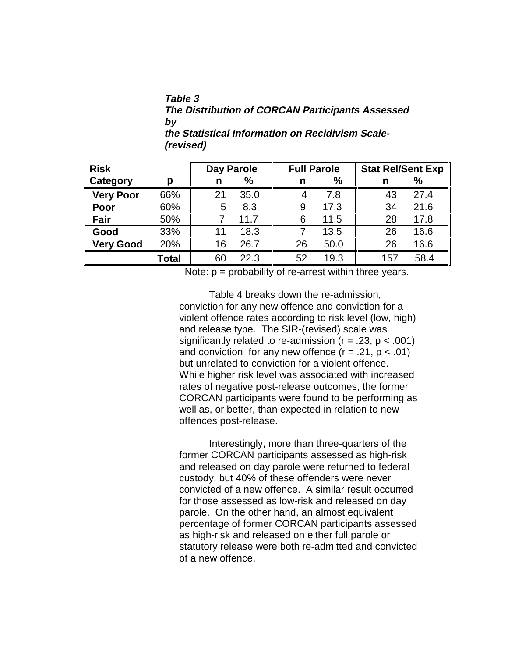#### **Table 3 The Distribution of CORCAN Participants Assessed by the Statistical Information on Recidivism Scale- (revised)**

| <b>Risk</b>      |              | Day Parole |               | <b>Full Parole</b> |      | <b>Stat Rel/Sent Exp</b> |      |
|------------------|--------------|------------|---------------|--------------------|------|--------------------------|------|
| Category         | p            | n          | $\frac{9}{6}$ | n                  | %    | n                        | %    |
| <b>Very Poor</b> | 66%          | 21         | 35.0          | 4                  | 7.8  | 43                       | 27.4 |
| Poor             | 60%          | 5          | 8.3           | 9                  | 17.3 | 34                       | 21.6 |
| Fair             | 50%          |            | 11.7          | 6                  | 11.5 | 28                       | 17.8 |
| Good             | 33%          | 11         | 18.3          |                    | 13.5 | 26                       | 16.6 |
| <b>Very Good</b> | 20%          | 16         | 26.7          | 26                 | 50.0 | 26                       | 16.6 |
|                  | <b>Total</b> | 60         | 22.3          | 52                 | 19.3 | 157                      | 58.4 |

Note:  $p =$  probability of re-arrest within three years.

Table 4 breaks down the re-admission, conviction for any new offence and conviction for a violent offence rates according to risk level (low, high) and release type. The SIR-(revised) scale was significantly related to re-admission ( $r = .23$ ,  $p < .001$ ) and conviction for any new offence  $(r = .21, p < .01)$ but unrelated to conviction for a violent offence. While higher risk level was associated with increased rates of negative post-release outcomes, the former CORCAN participants were found to be performing as well as, or better, than expected in relation to new offences post-release.

Interestingly, more than three-quarters of the former CORCAN participants assessed as high-risk and released on day parole were returned to federal custody, but 40% of these offenders were never convicted of a new offence. A similar result occurred for those assessed as low-risk and released on day parole. On the other hand, an almost equivalent percentage of former CORCAN participants assessed as high-risk and released on either full parole or statutory release were both re-admitted and convicted of a new offence.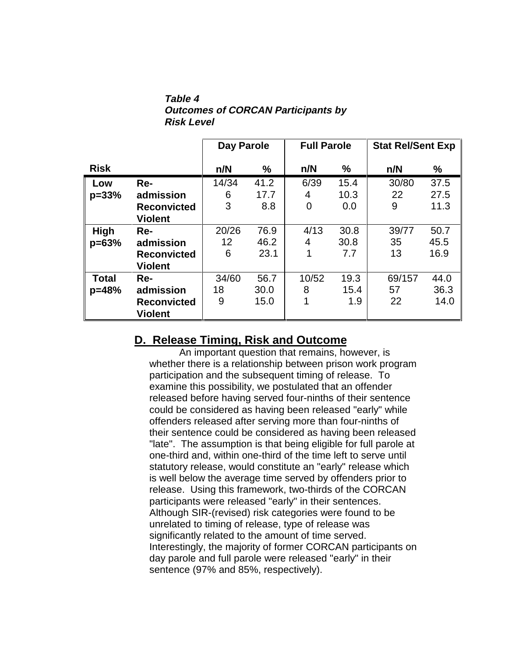**Table 4 Outcomes of CORCAN Participants by Risk Level**

|              |                    | Day Parole |      | <b>Full Parole</b> |               | <b>Stat Rel/Sent Exp</b> |      |
|--------------|--------------------|------------|------|--------------------|---------------|--------------------------|------|
| <b>Risk</b>  |                    | n/N        | %    | n/N                | $\frac{9}{6}$ | n/N                      | %    |
| Low          | Re-                | 14/34      | 41.2 | 6/39               | 15.4          | 30/80                    | 37.5 |
| $p = 33%$    | admission          | 6          | 17.7 | 4                  | 10.3          | 22                       | 27.5 |
|              | <b>Reconvicted</b> | 3          | 8.8  | 0                  | 0.0           | 9                        | 11.3 |
|              | <b>Violent</b>     |            |      |                    |               |                          |      |
| High         | Re-                | 20/26      | 76.9 | 4/13               | 30.8          | 39/77                    | 50.7 |
| $p = 63%$    | admission          | 12         | 46.2 | 4                  | 30.8          | 35                       | 45.5 |
|              | <b>Reconvicted</b> | 6          | 23.1 | 1                  | 7.7           | 13                       | 16.9 |
|              | <b>Violent</b>     |            |      |                    |               |                          |      |
| <b>Total</b> | Re-                | 34/60      | 56.7 | 10/52              | 19.3          | 69/157                   | 44.0 |
| p=48%        | admission          | 18         | 30.0 | 8                  | 15.4          | 57                       | 36.3 |
|              | <b>Reconvicted</b> | 9          | 15.0 | 1                  | 1.9           | 22                       | 14.0 |
|              | <b>Violent</b>     |            |      |                    |               |                          |      |

### **D. Release Timing, Risk and Outcome**

An important question that remains, however, is whether there is a relationship between prison work program participation and the subsequent timing of release. To examine this possibility, we postulated that an offender released before having served four-ninths of their sentence could be considered as having been released "early" while offenders released after serving more than four-ninths of their sentence could be considered as having been released "late". The assumption is that being eligible for full parole at one-third and, within one-third of the time left to serve until statutory release, would constitute an "early" release which is well below the average time served by offenders prior to release. Using this framework, two-thirds of the CORCAN participants were released "early" in their sentences. Although SIR-(revised) risk categories were found to be unrelated to timing of release, type of release was significantly related to the amount of time served. Interestingly, the majority of former CORCAN participants on day parole and full parole were released "early" in their sentence (97% and 85%, respectively).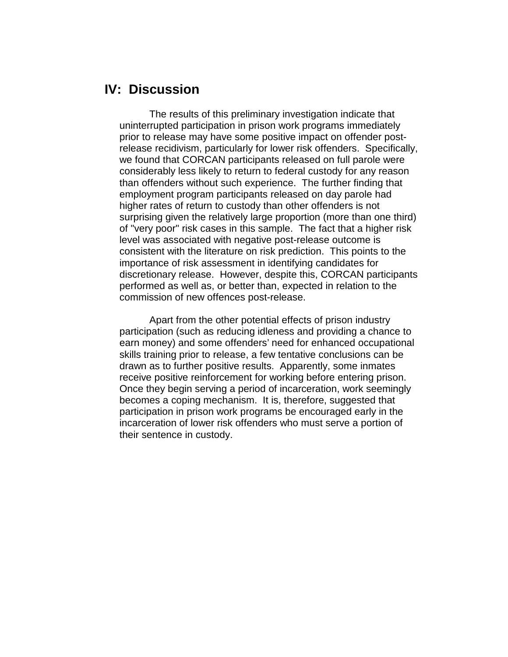## **IV: Discussion**

The results of this preliminary investigation indicate that uninterrupted participation in prison work programs immediately prior to release may have some positive impact on offender postrelease recidivism, particularly for lower risk offenders. Specifically, we found that CORCAN participants released on full parole were considerably less likely to return to federal custody for any reason than offenders without such experience. The further finding that employment program participants released on day parole had higher rates of return to custody than other offenders is not surprising given the relatively large proportion (more than one third) of "very poor" risk cases in this sample. The fact that a higher risk level was associated with negative post-release outcome is consistent with the literature on risk prediction. This points to the importance of risk assessment in identifying candidates for discretionary release. However, despite this, CORCAN participants performed as well as, or better than, expected in relation to the commission of new offences post-release.

Apart from the other potential effects of prison industry participation (such as reducing idleness and providing a chance to earn money) and some offenders' need for enhanced occupational skills training prior to release, a few tentative conclusions can be drawn as to further positive results. Apparently, some inmates receive positive reinforcement for working before entering prison. Once they begin serving a period of incarceration, work seemingly becomes a coping mechanism. It is, therefore, suggested that participation in prison work programs be encouraged early in the incarceration of lower risk offenders who must serve a portion of their sentence in custody.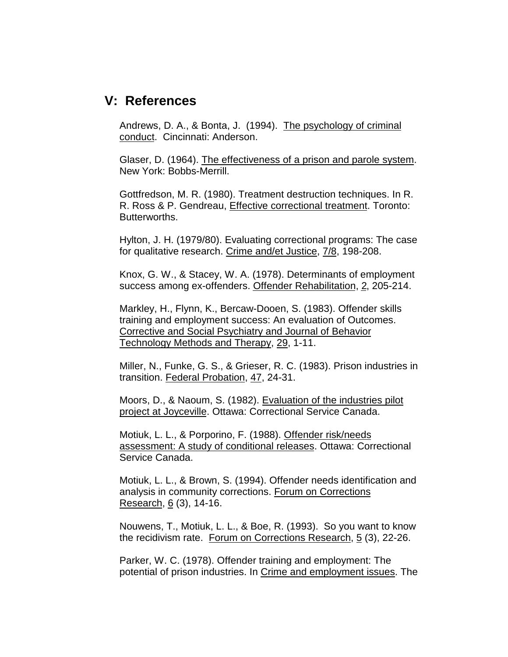## **V: References**

Andrews, D. A., & Bonta, J. (1994). The psychology of criminal conduct. Cincinnati: Anderson.

Glaser, D. (1964). The effectiveness of a prison and parole system. New York: Bobbs-Merrill.

Gottfredson, M. R. (1980). Treatment destruction techniques. In R. R. Ross & P. Gendreau, Effective correctional treatment. Toronto: Butterworths.

Hylton, J. H. (1979/80). Evaluating correctional programs: The case for qualitative research. Crime and/et Justice, 7/8, 198-208.

Knox, G. W., & Stacey, W. A. (1978). Determinants of employment success among ex-offenders. Offender Rehabilitation, 2, 205-214.

Markley, H., Flynn, K., Bercaw-Dooen, S. (1983). Offender skills training and employment success: An evaluation of Outcomes. Corrective and Social Psychiatry and Journal of Behavior Technology Methods and Therapy, 29, 1-11.

Miller, N., Funke, G. S., & Grieser, R. C. (1983). Prison industries in transition. Federal Probation, 47, 24-31.

Moors, D., & Naoum, S. (1982). Evaluation of the industries pilot project at Joyceville. Ottawa: Correctional Service Canada.

Motiuk, L. L., & Porporino, F. (1988). Offender risk/needs assessment: A study of conditional releases. Ottawa: Correctional Service Canada.

Motiuk, L. L., & Brown, S. (1994). Offender needs identification and analysis in community corrections. Forum on Corrections Research, 6 (3), 14-16.

Nouwens, T., Motiuk, L. L., & Boe, R. (1993). So you want to know the recidivism rate. Forum on Corrections Research, 5 (3), 22-26.

Parker, W. C. (1978). Offender training and employment: The potential of prison industries. In Crime and employment issues. The